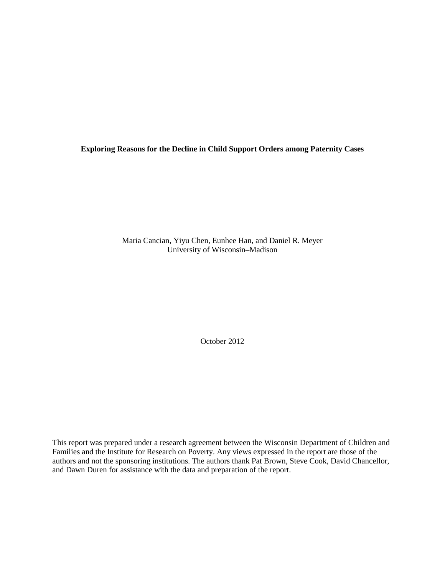**Exploring Reasons for the Decline in Child Support Orders among Paternity Cases**

Maria Cancian, Yiyu Chen, Eunhee Han, and Daniel R. Meyer University of Wisconsin–Madison

October 2012

This report was prepared under a research agreement between the Wisconsin Department of Children and Families and the Institute for Research on Poverty. Any views expressed in the report are those of the authors and not the sponsoring institutions. The authors thank Pat Brown, Steve Cook, David Chancellor, and Dawn Duren for assistance with the data and preparation of the report.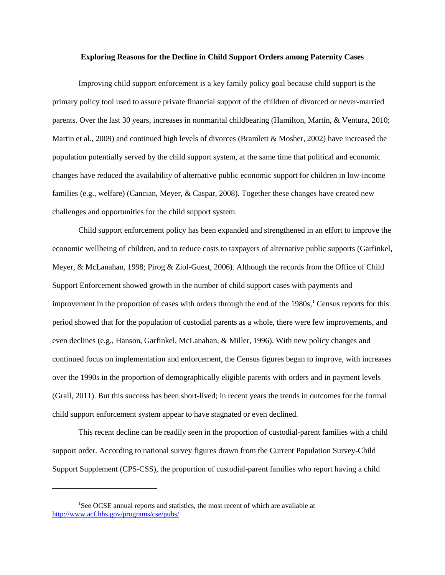#### **Exploring Reasons for the Decline in Child Support Orders among Paternity Cases**

Improving child support enforcement is a key family policy goal because child support is the primary policy tool used to assure private financial support of the children of divorced or never-married parents. Over the last 30 years, increases in nonmarital childbearing (Hamilton, Martin, & Ventura, 2010; Martin et al., 2009) and continued high levels of divorces (Bramlett & Mosher, 2002) have increased the population potentially served by the child support system, at the same time that political and economic changes have reduced the availability of alternative public economic support for children in low-income families (e.g., welfare) (Cancian, Meyer, & Caspar, 2008). Together these changes have created new challenges and opportunities for the child support system.

Child support enforcement policy has been expanded and strengthened in an effort to improve the economic wellbeing of children, and to reduce costs to taxpayers of alternative public supports (Garfinkel, Meyer, & McLanahan, 1998; Pirog & Ziol-Guest, 2006). Although the records from the Office of Child Support Enforcement showed growth in the number of child support cases with payments and improvement in the proportion of cases with orders through the end of the 1980s, [1](#page-1-0) Census reports for this period showed that for the population of custodial parents as a whole, there were few improvements, and even declines (e.g., Hanson, Garfinkel, McLanahan, & Miller, 1996). With new policy changes and continued focus on implementation and enforcement, the Census figures began to improve, with increases over the 1990s in the proportion of demographically eligible parents with orders and in payment levels (Grall, 2011). But this success has been short-lived; in recent years the trends in outcomes for the formal child support enforcement system appear to have stagnated or even declined.

This recent decline can be readily seen in the proportion of custodial-parent families with a child support order. According to national survey figures drawn from the Current Population Survey-Child Support Supplement (CPS-CSS), the proportion of custodial-parent families who report having a child

 $\overline{a}$ 

<span id="page-1-0"></span><sup>&</sup>lt;sup>1</sup>See OCSE annual reports and statistics, the most recent of which are available at <http://www.acf.hhs.gov/programs/cse/pubs/>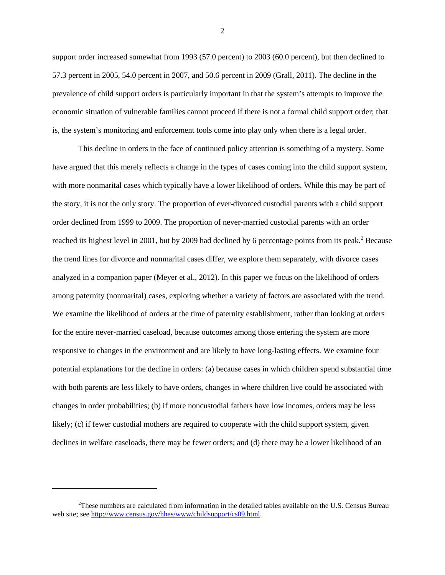support order increased somewhat from 1993 (57.0 percent) to 2003 (60.0 percent), but then declined to 57.3 percent in 2005, 54.0 percent in 2007, and 50.6 percent in 2009 (Grall, 2011). The decline in the prevalence of child support orders is particularly important in that the system's attempts to improve the economic situation of vulnerable families cannot proceed if there is not a formal child support order; that is, the system's monitoring and enforcement tools come into play only when there is a legal order.

This decline in orders in the face of continued policy attention is something of a mystery. Some have argued that this merely reflects a change in the types of cases coming into the child support system, with more nonmarital cases which typically have a lower likelihood of orders. While this may be part of the story, it is not the only story. The proportion of ever-divorced custodial parents with a child support order declined from 1999 to 2009. The proportion of never-married custodial parents with an order reached its highest level in [2](#page-2-0)001, but by 2009 had declined by 6 percentage points from its peak.<sup>2</sup> Because the trend lines for divorce and nonmarital cases differ, we explore them separately, with divorce cases analyzed in a companion paper (Meyer et al., 2012). In this paper we focus on the likelihood of orders among paternity (nonmarital) cases, exploring whether a variety of factors are associated with the trend. We examine the likelihood of orders at the time of paternity establishment, rather than looking at orders for the entire never-married caseload, because outcomes among those entering the system are more responsive to changes in the environment and are likely to have long-lasting effects. We examine four potential explanations for the decline in orders: (a) because cases in which children spend substantial time with both parents are less likely to have orders, changes in where children live could be associated with changes in order probabilities; (b) if more noncustodial fathers have low incomes, orders may be less likely; (c) if fewer custodial mothers are required to cooperate with the child support system, given declines in welfare caseloads, there may be fewer orders; and (d) there may be a lower likelihood of an

 $\overline{a}$ 

<span id="page-2-0"></span><sup>&</sup>lt;sup>2</sup>These numbers are calculated from information in the detailed tables available on the U.S. Census Bureau web site; see [http://www.census.gov/hhes/www/childsupport/cs09.html.](http://www.census.gov/hhes/www/childsupport/cs09.html)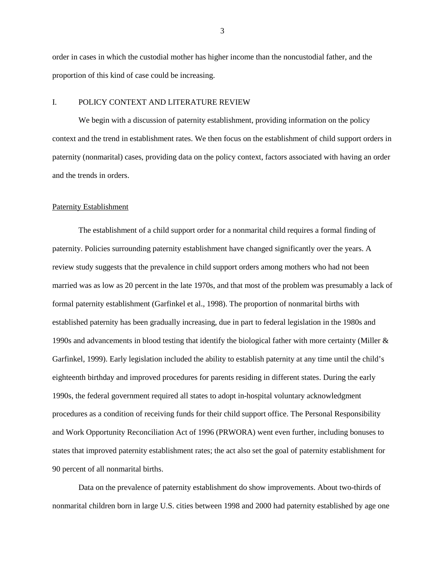order in cases in which the custodial mother has higher income than the noncustodial father, and the proportion of this kind of case could be increasing.

# I. POLICY CONTEXT AND LITERATURE REVIEW

We begin with a discussion of paternity establishment, providing information on the policy context and the trend in establishment rates. We then focus on the establishment of child support orders in paternity (nonmarital) cases, providing data on the policy context, factors associated with having an order and the trends in orders.

#### Paternity Establishment

The establishment of a child support order for a nonmarital child requires a formal finding of paternity. Policies surrounding paternity establishment have changed significantly over the years. A review study suggests that the prevalence in child support orders among mothers who had not been married was as low as 20 percent in the late 1970s, and that most of the problem was presumably a lack of formal paternity establishment (Garfinkel et al., 1998). The proportion of nonmarital births with established paternity has been gradually increasing, due in part to federal legislation in the 1980s and 1990s and advancements in blood testing that identify the biological father with more certainty (Miller & Garfinkel, 1999). Early legislation included the ability to establish paternity at any time until the child's eighteenth birthday and improved procedures for parents residing in different states. During the early 1990s, the federal government required all states to adopt in-hospital voluntary acknowledgment procedures as a condition of receiving funds for their child support office. The Personal Responsibility and Work Opportunity Reconciliation Act of 1996 (PRWORA) went even further, including bonuses to states that improved paternity establishment rates; the act also set the goal of paternity establishment for 90 percent of all nonmarital births.

Data on the prevalence of paternity establishment do show improvements. About two-thirds of nonmarital children born in large U.S. cities between 1998 and 2000 had paternity established by age one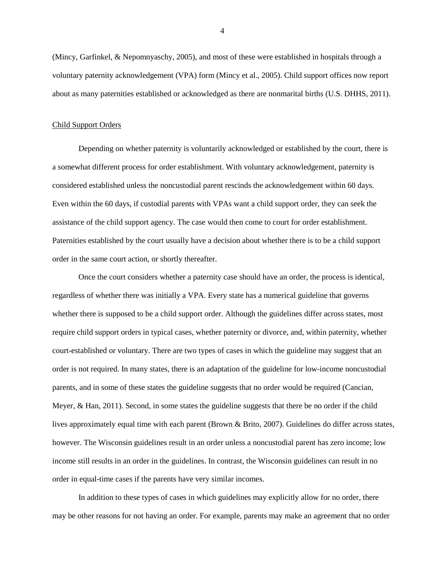(Mincy, Garfinkel, & Nepomnyaschy, 2005), and most of these were established in hospitals through a voluntary paternity acknowledgement (VPA) form (Mincy et al., 2005). Child support offices now report about as many paternities established or acknowledged as there are nonmarital births (U.S. DHHS, 2011).

## Child Support Orders

Depending on whether paternity is voluntarily acknowledged or established by the court, there is a somewhat different process for order establishment. With voluntary acknowledgement, paternity is considered established unless the noncustodial parent rescinds the acknowledgement within 60 days. Even within the 60 days, if custodial parents with VPAs want a child support order, they can seek the assistance of the child support agency. The case would then come to court for order establishment. Paternities established by the court usually have a decision about whether there is to be a child support order in the same court action, or shortly thereafter.

Once the court considers whether a paternity case should have an order, the process is identical, regardless of whether there was initially a VPA. Every state has a numerical guideline that governs whether there is supposed to be a child support order. Although the guidelines differ across states, most require child support orders in typical cases, whether paternity or divorce, and, within paternity, whether court-established or voluntary. There are two types of cases in which the guideline may suggest that an order is not required. In many states, there is an adaptation of the guideline for low-income noncustodial parents, and in some of these states the guideline suggests that no order would be required (Cancian, Meyer, & Han, 2011). Second, in some states the guideline suggests that there be no order if the child lives approximately equal time with each parent (Brown & Brito, 2007). Guidelines do differ across states, however. The Wisconsin guidelines result in an order unless a noncustodial parent has zero income; low income still results in an order in the guidelines. In contrast, the Wisconsin guidelines can result in no order in equal-time cases if the parents have very similar incomes.

In addition to these types of cases in which guidelines may explicitly allow for no order, there may be other reasons for not having an order. For example, parents may make an agreement that no order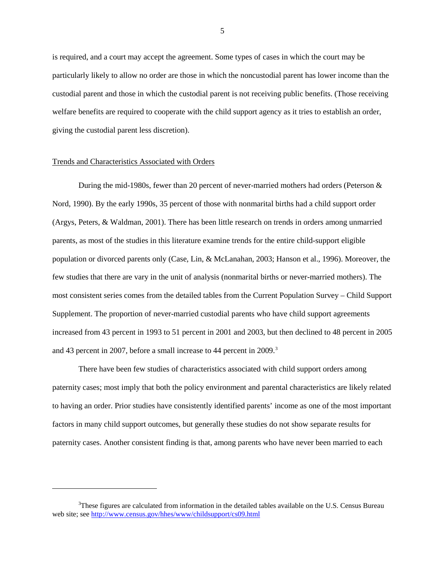is required, and a court may accept the agreement. Some types of cases in which the court may be particularly likely to allow no order are those in which the noncustodial parent has lower income than the custodial parent and those in which the custodial parent is not receiving public benefits. (Those receiving welfare benefits are required to cooperate with the child support agency as it tries to establish an order, giving the custodial parent less discretion).

# Trends and Characteristics Associated with Orders

 $\overline{a}$ 

During the mid-1980s, fewer than 20 percent of never-married mothers had orders (Peterson & Nord, 1990). By the early 1990s, 35 percent of those with nonmarital births had a child support order (Argys, Peters, & Waldman, 2001). There has been little research on trends in orders among unmarried parents, as most of the studies in this literature examine trends for the entire child-support eligible population or divorced parents only (Case, Lin, & McLanahan, 2003; Hanson et al., 1996). Moreover, the few studies that there are vary in the unit of analysis (nonmarital births or never-married mothers). The most consistent series comes from the detailed tables from the Current Population Survey – Child Support Supplement. The proportion of never-married custodial parents who have child support agreements increased from 43 percent in 1993 to 51 percent in 2001 and 2003, but then declined to 48 percent in 2005 and 4[3](#page-5-0) percent in 2007, before a small increase to 44 percent in 2009.<sup>3</sup>

There have been few studies of characteristics associated with child support orders among paternity cases; most imply that both the policy environment and parental characteristics are likely related to having an order. Prior studies have consistently identified parents' income as one of the most important factors in many child support outcomes, but generally these studies do not show separate results for paternity cases. Another consistent finding is that, among parents who have never been married to each

<span id="page-5-0"></span> $3$ These figures are calculated from information in the detailed tables available on the U.S. Census Bureau web site; see<http://www.census.gov/hhes/www/childsupport/cs09.html>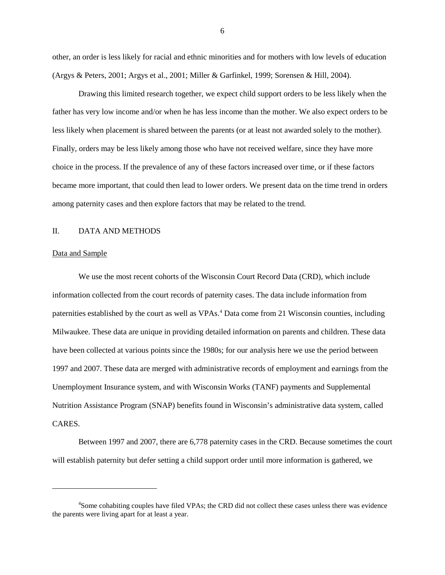other, an order is less likely for racial and ethnic minorities and for mothers with low levels of education (Argys & Peters, 2001; Argys et al., 2001; Miller & Garfinkel, 1999; Sorensen & Hill, 2004).

Drawing this limited research together, we expect child support orders to be less likely when the father has very low income and/or when he has less income than the mother. We also expect orders to be less likely when placement is shared between the parents (or at least not awarded solely to the mother). Finally, orders may be less likely among those who have not received welfare, since they have more choice in the process. If the prevalence of any of these factors increased over time, or if these factors became more important, that could then lead to lower orders. We present data on the time trend in orders among paternity cases and then explore factors that may be related to the trend.

### II. DATA AND METHODS

### Data and Sample

 $\overline{a}$ 

We use the most recent cohorts of the Wisconsin Court Record Data (CRD), which include information collected from the court records of paternity cases. The data include information from paternities established by the court as well as VPAs. [4](#page-6-0) Data come from 21 Wisconsin counties, including Milwaukee. These data are unique in providing detailed information on parents and children. These data have been collected at various points since the 1980s; for our analysis here we use the period between 1997 and 2007. These data are merged with administrative records of employment and earnings from the Unemployment Insurance system, and with Wisconsin Works (TANF) payments and Supplemental Nutrition Assistance Program (SNAP) benefits found in Wisconsin's administrative data system, called CARES.

Between 1997 and 2007, there are 6,778 paternity cases in the CRD. Because sometimes the court will establish paternity but defer setting a child support order until more information is gathered, we

<span id="page-6-0"></span><sup>&</sup>lt;sup>4</sup>Some cohabiting couples have filed VPAs; the CRD did not collect these cases unless there was evidence the parents were living apart for at least a year.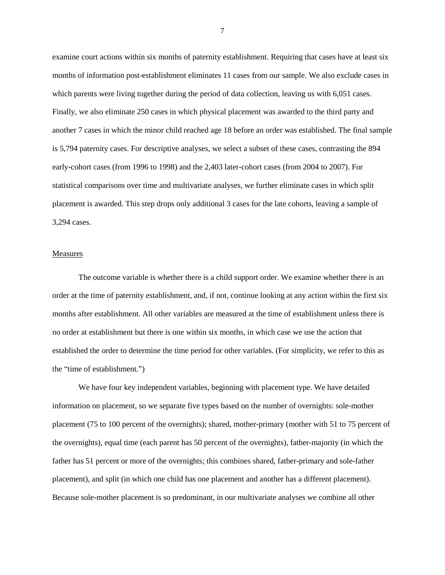examine court actions within six months of paternity establishment. Requiring that cases have at least six months of information post-establishment eliminates 11 cases from our sample. We also exclude cases in which parents were living together during the period of data collection, leaving us with 6,051 cases. Finally, we also eliminate 250 cases in which physical placement was awarded to the third party and another 7 cases in which the minor child reached age 18 before an order was established. The final sample is 5,794 paternity cases. For descriptive analyses, we select a subset of these cases, contrasting the 894 early-cohort cases (from 1996 to 1998) and the 2,403 later-cohort cases (from 2004 to 2007). For statistical comparisons over time and multivariate analyses, we further eliminate cases in which split placement is awarded. This step drops only additional 3 cases for the late cohorts, leaving a sample of 3,294 cases.

#### Measures

The outcome variable is whether there is a child support order. We examine whether there is an order at the time of paternity establishment, and, if not, continue looking at any action within the first six months after establishment. All other variables are measured at the time of establishment unless there is no order at establishment but there is one within six months, in which case we use the action that established the order to determine the time period for other variables. (For simplicity, we refer to this as the "time of establishment.")

We have four key independent variables, beginning with placement type. We have detailed information on placement, so we separate five types based on the number of overnights: sole-mother placement (75 to 100 percent of the overnights); shared, mother-primary (mother with 51 to 75 percent of the overnights), equal time (each parent has 50 percent of the overnights), father-majority (in which the father has 51 percent or more of the overnights; this combines shared, father-primary and sole-father placement), and split (in which one child has one placement and another has a different placement). Because sole-mother placement is so predominant, in our multivariate analyses we combine all other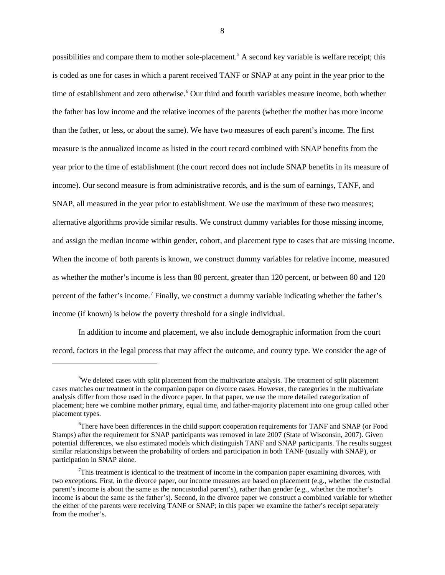possibilities and compare them to mother sole-placement.[5](#page-8-0) A second key variable is welfare receipt; this is coded as one for cases in which a parent received TANF or SNAP at any point in the year prior to the time of establishment and zero otherwise. [6](#page-8-1) Our third and fourth variables measure income, both whether the father has low income and the relative incomes of the parents (whether the mother has more income than the father, or less, or about the same). We have two measures of each parent's income. The first measure is the annualized income as listed in the court record combined with SNAP benefits from the year prior to the time of establishment (the court record does not include SNAP benefits in its measure of income). Our second measure is from administrative records, and is the sum of earnings, TANF, and SNAP, all measured in the year prior to establishment. We use the maximum of these two measures; alternative algorithms provide similar results. We construct dummy variables for those missing income, and assign the median income within gender, cohort, and placement type to cases that are missing income. When the income of both parents is known, we construct dummy variables for relative income, measured as whether the mother's income is less than 80 percent, greater than 120 percent, or between 80 and 120 percent of the father's income.[7](#page-8-2) Finally, we construct a dummy variable indicating whether the father's income (if known) is below the poverty threshold for a single individual.

In addition to income and placement, we also include demographic information from the court record, factors in the legal process that may affect the outcome, and county type. We consider the age of

 $\overline{a}$ 

<span id="page-8-0"></span><sup>&</sup>lt;sup>5</sup>We deleted cases with split placement from the multivariate analysis. The treatment of split placement cases matches our treatment in the companion paper on divorce cases. However, the categories in the multivariate analysis differ from those used in the divorce paper. In that paper, we use the more detailed categorization of placement; here we combine mother primary, equal time, and father-majority placement into one group called other placement types.

<span id="page-8-1"></span><sup>&</sup>lt;sup>6</sup>There have been differences in the child support cooperation requirements for TANF and SNAP (or Food Stamps) after the requirement for SNAP participants was removed in late 2007 (State of Wisconsin, 2007). Given potential differences, we also estimated models which distinguish TANF and SNAP participants. The results suggest similar relationships between the probability of orders and participation in both TANF (usually with SNAP), or participation in SNAP alone.

<span id="page-8-2"></span> $7$ This treatment is identical to the treatment of income in the companion paper examining divorces, with two exceptions. First, in the divorce paper, our income measures are based on placement (e.g., whether the custodial parent's income is about the same as the noncustodial parent's), rather than gender (e.g., whether the mother's income is about the same as the father's). Second, in the divorce paper we construct a combined variable for whether the either of the parents were receiving TANF or SNAP; in this paper we examine the father's receipt separately from the mother's.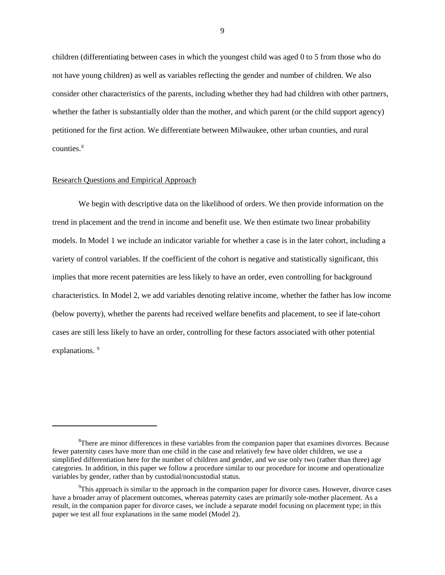children (differentiating between cases in which the youngest child was aged 0 to 5 from those who do not have young children) as well as variables reflecting the gender and number of children. We also consider other characteristics of the parents, including whether they had had children with other partners, whether the father is substantially older than the mother, and which parent (or the child support agency) petitioned for the first action. We differentiate between Milwaukee, other urban counties, and rural counties.<sup>[8](#page-9-0)</sup>

## Research Questions and Empirical Approach

 $\ddot{\phantom{a}}$ 

We begin with descriptive data on the likelihood of orders. We then provide information on the trend in placement and the trend in income and benefit use. We then estimate two linear probability models. In Model 1 we include an indicator variable for whether a case is in the later cohort, including a variety of control variables. If the coefficient of the cohort is negative and statistically significant, this implies that more recent paternities are less likely to have an order, even controlling for background characteristics. In Model 2, we add variables denoting relative income, whether the father has low income (below poverty), whether the parents had received welfare benefits and placement, to see if late-cohort cases are still less likely to have an order, controlling for these factors associated with other potential explanations.<sup>[9](#page-9-1)</sup>

<span id="page-9-0"></span><sup>&</sup>lt;sup>8</sup>There are minor differences in these variables from the companion paper that examines divorces. Because fewer paternity cases have more than one child in the case and relatively few have older children, we use a simplified differentiation here for the number of children and gender, and we use only two (rather than three) age categories. In addition, in this paper we follow a procedure similar to our procedure for income and operationalize variables by gender, rather than by custodial/noncustodial status.

<span id="page-9-1"></span><sup>&</sup>lt;sup>9</sup>This approach is similar to the approach in the companion paper for divorce cases. However, divorce cases have a broader array of placement outcomes, whereas paternity cases are primarily sole-mother placement. As a result, in the companion paper for divorce cases, we include a separate model focusing on placement type; in this paper we test all four explanations in the same model (Model 2).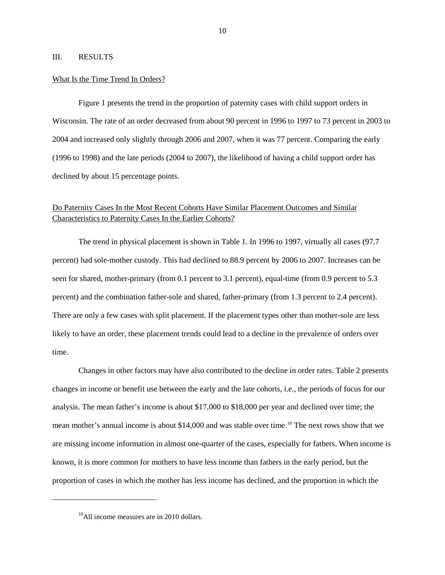# III. RESULTS

## What Is the Time Trend In Orders?

Figure 1 presents the trend in the proportion of paternity cases with child support orders in Wisconsin. The rate of an order decreased from about 90 percent in 1996 to 1997 to 73 percent in 2003 to 2004 and increased only slightly through 2006 and 2007, when it was 77 percent. Comparing the early (1996 to 1998) and the late periods (2004 to 2007), the likelihood of having a child support order has declined by about 15 percentage points.

# Do Paternity Cases In the Most Recent Cohorts Have Similar Placement Outcomes and Similar Characteristics to Paternity Cases In the Earlier Cohorts?

The trend in physical placement is shown in Table 1. In 1996 to 1997, virtually all cases (97.7 percent) had sole-mother custody. This had declined to 88.9 percent by 2006 to 2007. Increases can be seen for shared, mother-primary (from 0.1 percent to 3.1 percent), equal-time (from 0.9 percent to 5.3 percent) and the combination father-sole and shared, father-primary (from 1.3 percent to 2.4 percent). There are only a few cases with split placement. If the placement types other than mother-sole are less likely to have an order, these placement trends could lead to a decline in the prevalence of orders over time.

Changes in other factors may have also contributed to the decline in order rates. Table 2 presents changes in income or benefit use between the early and the late cohorts, i.e., the periods of focus for our analysis. The mean father's income is about \$17,000 to \$18,000 per year and declined over time; the mean mother's annual income is about \$14,000 and was stable over time.<sup>[10](#page-10-0)</sup> The next rows show that we are missing income information in almost one-quarter of the cases, especially for fathers. When income is known, it is more common for mothers to have less income than fathers in the early period, but the proportion of cases in which the mother has less income has declined, and the proportion in which the

<span id="page-10-0"></span> $\overline{a}$ 

 $10$ All income measures are in 2010 dollars.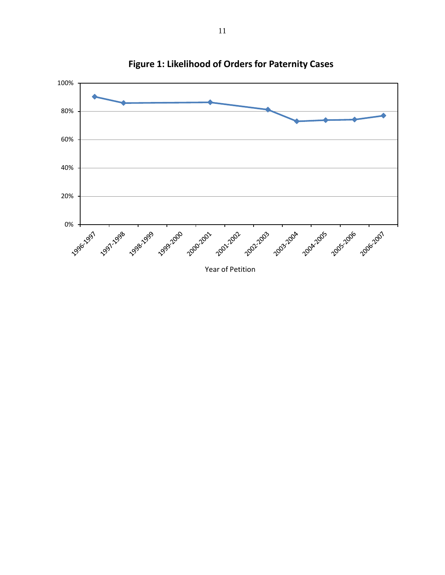

**Figure 1: Likelihood of Orders for Paternity Cases**

Year of Petition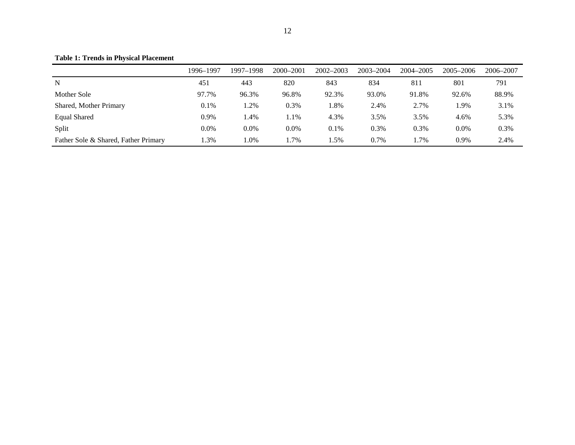**Table 1: Trends in Physical Placement**

|                                      | 1996–1997 | 1997-1998 | 2000-2001 | $2002 - 2003$ | 2003-2004 | 2004–2005 | $2005 - 2006$ | 2006–2007 |
|--------------------------------------|-----------|-----------|-----------|---------------|-----------|-----------|---------------|-----------|
| N                                    | 451       | 443       | 820       | 843           | 834       | 811       | 801           | 791       |
| Mother Sole                          | 97.7%     | 96.3%     | 96.8%     | 92.3%         | 93.0%     | 91.8%     | 92.6%         | 88.9%     |
| Shared, Mother Primary               | 0.1%      | $.2\%$    | 0.3%      | 1.8%          | 2.4%      | 2.7%      | .9%           | 3.1%      |
| <b>Equal Shared</b>                  | 0.9%      | $.4\%$    | 1.1%      | 4.3%          | 3.5%      | 3.5%      | 4.6%          | 5.3%      |
| Split                                | 0.0%      | $0.0\%$   | $0.0\%$   | 0.1%          | 0.3%      | 0.3%      | 0.0%          | 0.3%      |
| Father Sole & Shared, Father Primary | .3%       | l.0%      | .7%       | 1.5%          | 0.7%      | l.7%      | 0.9%          | 2.4%      |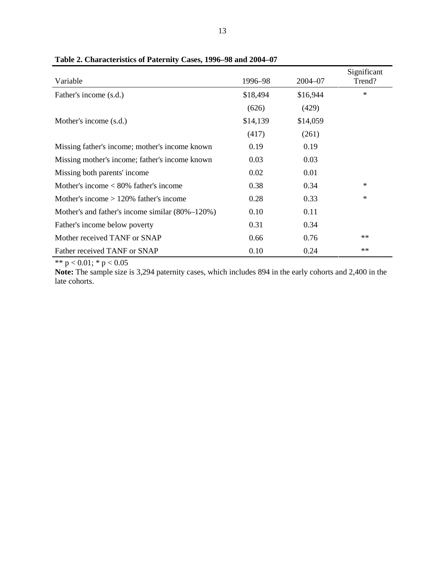| Variable                                        | 1996-98  | $2004 - 07$ | Significant<br>Trend? |
|-------------------------------------------------|----------|-------------|-----------------------|
| Father's income (s.d.)                          | \$18,494 | \$16,944    | $\ast$                |
|                                                 | (626)    | (429)       |                       |
| Mother's income (s.d.)                          | \$14,139 | \$14,059    |                       |
|                                                 | (417)    | (261)       |                       |
| Missing father's income; mother's income known  | 0.19     | 0.19        |                       |
| Missing mother's income; father's income known  | 0.03     | 0.03        |                       |
| Missing both parents' income                    | 0.02     | 0.01        |                       |
| Mother's income $< 80\%$ father's income        | 0.38     | 0.34        | $\ast$                |
| Mother's income $> 120\%$ father's income       | 0.28     | 0.33        | $\ast$                |
| Mother's and father's income similar (80%–120%) | 0.10     | 0.11        |                       |
| Father's income below poverty                   | 0.31     | 0.34        |                       |
| Mother received TANF or SNAP                    | 0.66     | 0.76        | $**$                  |
| Father received TANF or SNAP                    | 0.10     | 0.24        | $**$                  |

**Table 2. Characteristics of Paternity Cases, 1996–98 and 2004–07**

\*\* p < 0.01; \* p < 0.05

**Note:** The sample size is 3,294 paternity cases, which includes 894 in the early cohorts and 2,400 in the late cohorts.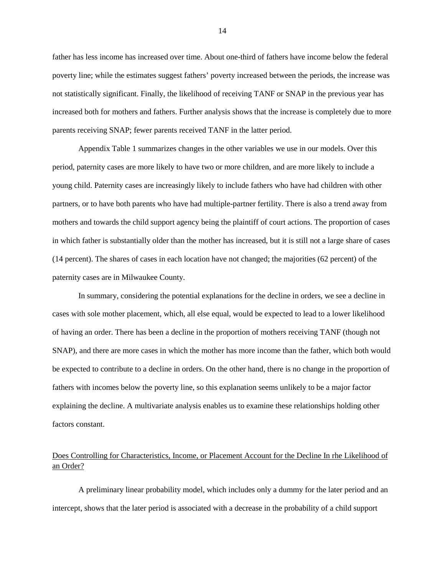father has less income has increased over time. About one-third of fathers have income below the federal poverty line; while the estimates suggest fathers' poverty increased between the periods, the increase was not statistically significant. Finally, the likelihood of receiving TANF or SNAP in the previous year has increased both for mothers and fathers. Further analysis shows that the increase is completely due to more parents receiving SNAP; fewer parents received TANF in the latter period.

Appendix Table 1 summarizes changes in the other variables we use in our models. Over this period, paternity cases are more likely to have two or more children, and are more likely to include a young child. Paternity cases are increasingly likely to include fathers who have had children with other partners, or to have both parents who have had multiple-partner fertility. There is also a trend away from mothers and towards the child support agency being the plaintiff of court actions. The proportion of cases in which father is substantially older than the mother has increased, but it is still not a large share of cases (14 percent). The shares of cases in each location have not changed; the majorities (62 percent) of the paternity cases are in Milwaukee County.

In summary, considering the potential explanations for the decline in orders, we see a decline in cases with sole mother placement, which, all else equal, would be expected to lead to a lower likelihood of having an order. There has been a decline in the proportion of mothers receiving TANF (though not SNAP), and there are more cases in which the mother has more income than the father, which both would be expected to contribute to a decline in orders. On the other hand, there is no change in the proportion of fathers with incomes below the poverty line, so this explanation seems unlikely to be a major factor explaining the decline. A multivariate analysis enables us to examine these relationships holding other factors constant.

# Does Controlling for Characteristics, Income, or Placement Account for the Decline In rhe Likelihood of an Order?

A preliminary linear probability model, which includes only a dummy for the later period and an intercept, shows that the later period is associated with a decrease in the probability of a child support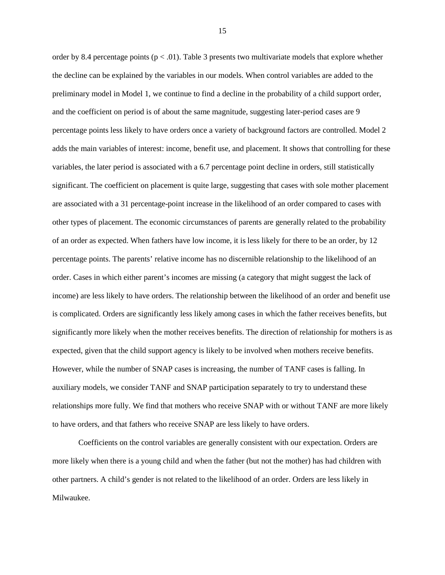order by 8.4 percentage points ( $p < .01$ ). Table 3 presents two multivariate models that explore whether the decline can be explained by the variables in our models. When control variables are added to the preliminary model in Model 1, we continue to find a decline in the probability of a child support order, and the coefficient on period is of about the same magnitude, suggesting later-period cases are 9 percentage points less likely to have orders once a variety of background factors are controlled. Model 2 adds the main variables of interest: income, benefit use, and placement. It shows that controlling for these variables, the later period is associated with a 6.7 percentage point decline in orders, still statistically significant. The coefficient on placement is quite large, suggesting that cases with sole mother placement are associated with a 31 percentage-point increase in the likelihood of an order compared to cases with other types of placement. The economic circumstances of parents are generally related to the probability of an order as expected. When fathers have low income, it is less likely for there to be an order, by 12 percentage points. The parents' relative income has no discernible relationship to the likelihood of an order. Cases in which either parent's incomes are missing (a category that might suggest the lack of income) are less likely to have orders. The relationship between the likelihood of an order and benefit use is complicated. Orders are significantly less likely among cases in which the father receives benefits, but significantly more likely when the mother receives benefits. The direction of relationship for mothers is as expected, given that the child support agency is likely to be involved when mothers receive benefits. However, while the number of SNAP cases is increasing, the number of TANF cases is falling. In auxiliary models, we consider TANF and SNAP participation separately to try to understand these relationships more fully. We find that mothers who receive SNAP with or without TANF are more likely to have orders, and that fathers who receive SNAP are less likely to have orders.

Coefficients on the control variables are generally consistent with our expectation. Orders are more likely when there is a young child and when the father (but not the mother) has had children with other partners. A child's gender is not related to the likelihood of an order. Orders are less likely in Milwaukee.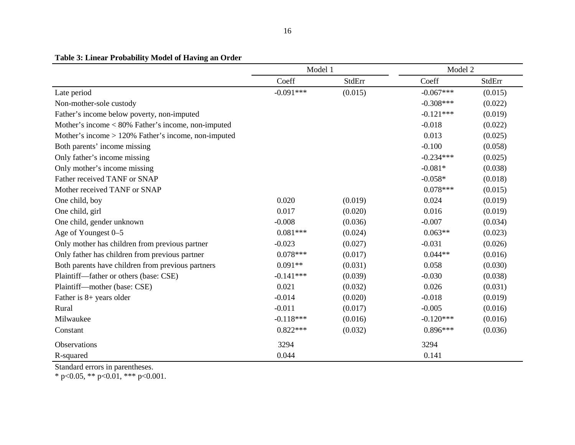# **Table 3: Linear Probability Model of Having an Order**

|                                                        | Model 1     |               | Model 2     |               |
|--------------------------------------------------------|-------------|---------------|-------------|---------------|
|                                                        | Coeff       | <b>StdErr</b> | Coeff       | <b>StdErr</b> |
| Late period                                            | $-0.091***$ | (0.015)       | $-0.067***$ | (0.015)       |
| Non-mother-sole custody                                |             |               | $-0.308***$ | (0.022)       |
| Father's income below poverty, non-imputed             |             |               | $-0.121***$ | (0.019)       |
| Mother's income $< 80\%$ Father's income, non-imputed  |             |               | $-0.018$    | (0.022)       |
| Mother's income $> 120\%$ Father's income, non-imputed |             |               | 0.013       | (0.025)       |
| Both parents' income missing                           |             |               | $-0.100$    | (0.058)       |
| Only father's income missing                           |             |               | $-0.234***$ | (0.025)       |
| Only mother's income missing                           |             |               | $-0.081*$   | (0.038)       |
| Father received TANF or SNAP                           |             |               | $-0.058*$   | (0.018)       |
| Mother received TANF or SNAP                           |             |               | $0.078***$  | (0.015)       |
| One child, boy                                         | 0.020       | (0.019)       | 0.024       | (0.019)       |
| One child, girl                                        | 0.017       | (0.020)       | 0.016       | (0.019)       |
| One child, gender unknown                              | $-0.008$    | (0.036)       | $-0.007$    | (0.034)       |
| Age of Youngest 0-5                                    | $0.081***$  | (0.024)       | $0.063**$   | (0.023)       |
| Only mother has children from previous partner         | $-0.023$    | (0.027)       | $-0.031$    | (0.026)       |
| Only father has children from previous partner         | $0.078***$  | (0.017)       | $0.044**$   | (0.016)       |
| Both parents have children from previous partners      | $0.091**$   | (0.031)       | 0.058       | (0.030)       |
| Plaintiff-father or others (base: CSE)                 | $-0.141***$ | (0.039)       | $-0.030$    | (0.038)       |
| Plaintiff—mother (base: CSE)                           | 0.021       | (0.032)       | 0.026       | (0.031)       |
| Father is 8+ years older                               | $-0.014$    | (0.020)       | $-0.018$    | (0.019)       |
| Rural                                                  | $-0.011$    | (0.017)       | $-0.005$    | (0.016)       |
| Milwaukee                                              | $-0.118***$ | (0.016)       | $-0.120***$ | (0.016)       |
| Constant                                               | $0.822***$  | (0.032)       | $0.896***$  | (0.036)       |
| Observations                                           | 3294        |               | 3294        |               |
| R-squared                                              | 0.044       |               | 0.141       |               |

Standard errors in parentheses.

\* p<0.05, \*\* p<0.01, \*\*\* p<0.001.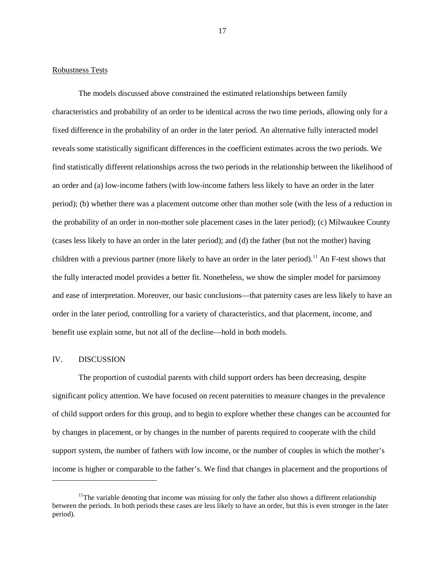# Robustness Tests

The models discussed above constrained the estimated relationships between family characteristics and probability of an order to be identical across the two time periods, allowing only for a fixed difference in the probability of an order in the later period. An alternative fully interacted model reveals some statistically significant differences in the coefficient estimates across the two periods. We find statistically different relationships across the two periods in the relationship between the likelihood of an order and (a) low-income fathers (with low-income fathers less likely to have an order in the later period); (b) whether there was a placement outcome other than mother sole (with the less of a reduction in the probability of an order in non-mother sole placement cases in the later period); (c) Milwaukee County (cases less likely to have an order in the later period); and (d) the father (but not the mother) having children with a previous partner (more likely to have an order in the later period).<sup>[11](#page-17-0)</sup> An F-test shows that the fully interacted model provides a better fit. Nonetheless, we show the simpler model for parsimony and ease of interpretation. Moreover, our basic conclusions—that paternity cases are less likely to have an order in the later period, controlling for a variety of characteristics, and that placement, income, and benefit use explain some, but not all of the decline—hold in both models.

# IV. DISCUSSION

 $\ddot{\phantom{a}}$ 

The proportion of custodial parents with child support orders has been decreasing, despite significant policy attention. We have focused on recent paternities to measure changes in the prevalence of child support orders for this group, and to begin to explore whether these changes can be accounted for by changes in placement, or by changes in the number of parents required to cooperate with the child support system, the number of fathers with low income, or the number of couples in which the mother's income is higher or comparable to the father's. We find that changes in placement and the proportions of

<span id="page-17-0"></span> $11$ The variable denoting that income was missing for only the father also shows a different relationship between the periods. In both periods these cases are less likely to have an order, but this is even stronger in the later period).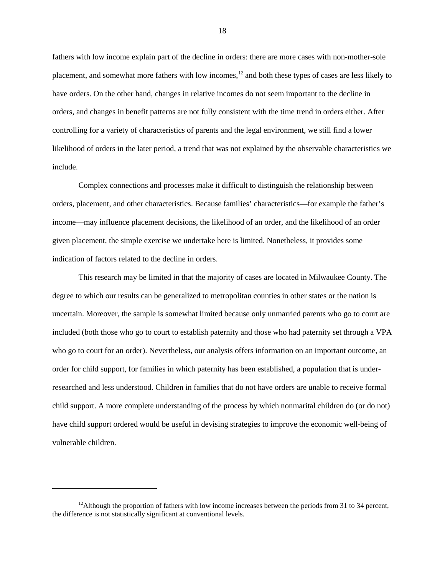fathers with low income explain part of the decline in orders: there are more cases with non-mother-sole placement, and somewhat more fathers with low incomes,<sup>[12](#page-18-0)</sup> and both these types of cases are less likely to have orders. On the other hand, changes in relative incomes do not seem important to the decline in orders, and changes in benefit patterns are not fully consistent with the time trend in orders either. After controlling for a variety of characteristics of parents and the legal environment, we still find a lower likelihood of orders in the later period, a trend that was not explained by the observable characteristics we include.

Complex connections and processes make it difficult to distinguish the relationship between orders, placement, and other characteristics. Because families' characteristics—for example the father's income—may influence placement decisions, the likelihood of an order, and the likelihood of an order given placement, the simple exercise we undertake here is limited. Nonetheless, it provides some indication of factors related to the decline in orders.

This research may be limited in that the majority of cases are located in Milwaukee County. The degree to which our results can be generalized to metropolitan counties in other states or the nation is uncertain. Moreover, the sample is somewhat limited because only unmarried parents who go to court are included (both those who go to court to establish paternity and those who had paternity set through a VPA who go to court for an order). Nevertheless, our analysis offers information on an important outcome, an order for child support, for families in which paternity has been established, a population that is underresearched and less understood. Children in families that do not have orders are unable to receive formal child support. A more complete understanding of the process by which nonmarital children do (or do not) have child support ordered would be useful in devising strategies to improve the economic well-being of vulnerable children.

 $\overline{a}$ 

<span id="page-18-0"></span><sup>&</sup>lt;sup>12</sup>Although the proportion of fathers with low income increases between the periods from 31 to 34 percent, the difference is not statistically significant at conventional levels.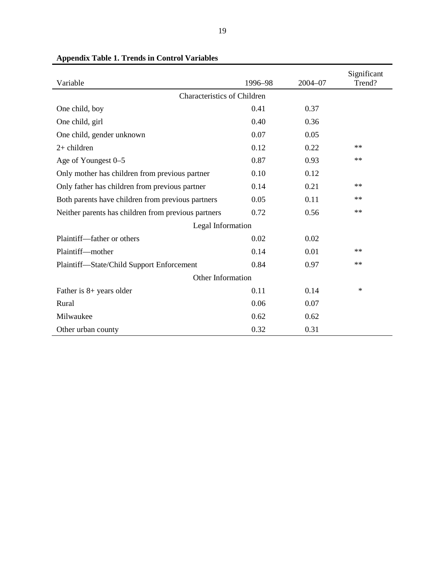| Variable                                            | 1996-98 | $2004 - 07$ | Significant<br>Trend? |  |  |  |
|-----------------------------------------------------|---------|-------------|-----------------------|--|--|--|
| <b>Characteristics of Children</b>                  |         |             |                       |  |  |  |
| One child, boy                                      | 0.41    | 0.37        |                       |  |  |  |
| One child, girl                                     | 0.40    | 0.36        |                       |  |  |  |
| One child, gender unknown                           | 0.07    | 0.05        |                       |  |  |  |
| $2+$ children                                       | 0.12    | 0.22        | $**$                  |  |  |  |
| Age of Youngest 0-5                                 | 0.87    | 0.93        | $**$                  |  |  |  |
| Only mother has children from previous partner      | 0.10    | 0.12        |                       |  |  |  |
| Only father has children from previous partner      | 0.14    | 0.21        | $**$                  |  |  |  |
| Both parents have children from previous partners   | 0.05    | 0.11        | $**$                  |  |  |  |
| Neither parents has children from previous partners | 0.72    | 0.56        | $**$                  |  |  |  |
| Legal Information                                   |         |             |                       |  |  |  |
| Plaintiff—father or others                          | 0.02    | 0.02        |                       |  |  |  |
| Plaintiff-mother                                    | 0.14    | 0.01        | $**$                  |  |  |  |
| Plaintiff-State/Child Support Enforcement           | 0.84    | 0.97        | $**$                  |  |  |  |
| Other Information                                   |         |             |                       |  |  |  |
| Father is 8+ years older                            | 0.11    | 0.14        | $\ast$                |  |  |  |
| Rural                                               | 0.06    | 0.07        |                       |  |  |  |
| Milwaukee                                           | 0.62    | 0.62        |                       |  |  |  |
| Other urban county                                  | 0.32    | 0.31        |                       |  |  |  |

# **Appendix Table 1. Trends in Control Variables**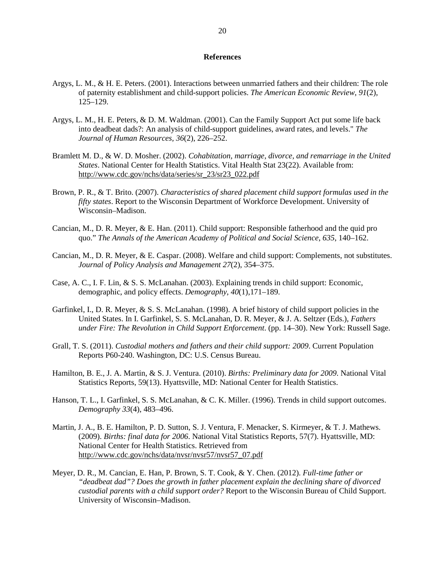## **References**

- Argys, L. M., & H. E. Peters. (2001). Interactions between unmarried fathers and their children: The role of paternity establishment and child-support policies. *The American Economic Review*, *91*(2), 125–129.
- Argys, L. M., H. E. Peters, & D. M. Waldman. (2001). Can the Family Support Act put some life back into deadbeat dads?: An analysis of child-support guidelines, award rates, and levels." *The Journal of Human Resources, 36*(2), 226–252.
- Bramlett M. D., & W. D. Mosher. (2002). *Cohabitation, marriage, divorce, and remarriage in the United States*. National Center for Health Statistics. Vital Health Stat 23(22). Available from: [http://www.cdc.gov/nchs/data/series/sr\\_23/sr23\\_022.pdf](http://www.cdc.gov/nchs/data/series/sr_23/sr23_022.pdf)
- Brown, P. R., & T. Brito. (2007). *Characteristics of shared placement child support formulas used in the fifty states*. Report to the Wisconsin Department of Workforce Development. University of Wisconsin–Madison.
- Cancian, M., D. R. Meyer, & E. Han. (2011). Child support: Responsible fatherhood and the quid pro quo." *The Annals of the American Academy of Political and Social Science*, *635*, 140–162.
- Cancian, M., D. R. Meyer, & E. Caspar. (2008). Welfare and child support: Complements, not substitutes. *Journal of Policy Analysis and Management 27*(2), 354–375.
- Case, A. C., I. F. Lin, & S. S. McLanahan. (2003). Explaining trends in child support: Economic, demographic, and policy effects. *Demography*, *40*(1),171–189.
- Garfinkel, I., D. R. Meyer, & S. S. McLanahan. (1998). A brief history of child support policies in the United States. In I. Garfinkel, S. S. McLanahan, D. R. Meyer, & J. A. Seltzer (Eds.), *Fathers under Fire: The Revolution in Child Support Enforcement*. (pp. 14–30). New York: Russell Sage.
- Grall, T. S. (2011). *Custodial mothers and fathers and their child support: 2009*. Current Population Reports P60-240. Washington, DC: U.S. Census Bureau.
- Hamilton, B. E., J. A. Martin, & S. J. Ventura. (2010). *Births: Preliminary data for 2009*. National Vital Statistics Reports, 59(13). Hyattsville, MD: National Center for Health Statistics.
- Hanson, T. L., I. Garfinkel, S. S. McLanahan, & C. K. Miller. (1996). Trends in child support outcomes. *Demography 33*(4), 483–496.
- Martin, J. A., B. E. Hamilton, P. D. Sutton, S. J. Ventura, F. Menacker, S. Kirmeyer, & T. J. Mathews. (2009). *Births: final data for 2006*. National Vital Statistics Reports, 57(7). Hyattsville, MD: National Center for Health Statistics. Retrieved from [http://www.cdc.gov/nchs/data/nvsr/nvsr57/nvsr57\\_07.pdf](http://www.cdc.gov/nchs/data/nvsr/nvsr57/nvsr57_07.pdf)
- Meyer, D. R., M. Cancian, E. Han, P. Brown, S. T. Cook, & Y. Chen. (2012). *Full-time father or "deadbeat dad"? Does the growth in father placement explain the declining share of divorced custodial parents with a child support order?* Report to the Wisconsin Bureau of Child Support. University of Wisconsin–Madison.